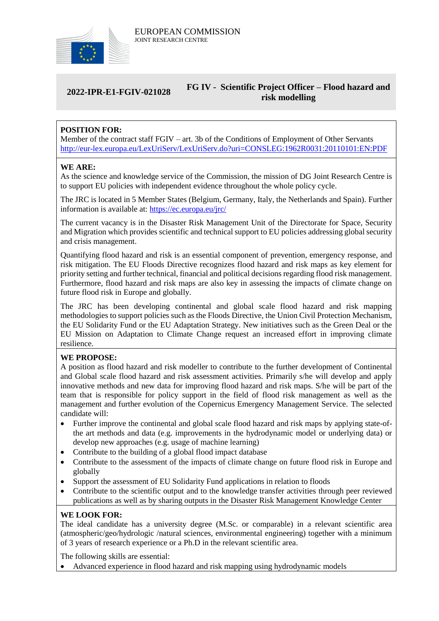

#### **2022-IPR-E1-FGIV-021028 FG IV - Scientific Project Officer – Flood hazard and risk modelling**

# **POSITION FOR:**

Member of the contract staff FGIV – art. 3b of the Conditions of Employment of Other Servants <http://eur-lex.europa.eu/LexUriServ/LexUriServ.do?uri=CONSLEG:1962R0031:20110101:EN:PDF>

#### **WE ARE:**

As the science and knowledge service of the Commission, the mission of DG Joint Research Centre is to support EU policies with independent evidence throughout the whole policy cycle.

The JRC is located in 5 Member States (Belgium, Germany, Italy, the Netherlands and Spain). Further information is available at: <https://ec.europa.eu/jrc/>

The current vacancy is in the Disaster Risk Management Unit of the Directorate for Space, Security and Migration which provides scientific and technical support to EU policies addressing global security and crisis management.

Quantifying flood hazard and risk is an essential component of prevention, emergency response, and risk mitigation. The EU Floods Directive recognizes flood hazard and risk maps as key element for priority setting and further technical, financial and political decisions regarding flood risk management. Furthermore, flood hazard and risk maps are also key in assessing the impacts of climate change on future flood risk in Europe and globally.

The JRC has been developing continental and global scale flood hazard and risk mapping methodologies to support policies such as the Floods Directive, the Union Civil Protection Mechanism, the EU Solidarity Fund or the EU Adaptation Strategy. New initiatives such as the Green Deal or the EU Mission on Adaptation to Climate Change request an increased effort in improving climate resilience.

## **WE PROPOSE:**

A position as flood hazard and risk modeller to contribute to the further development of Continental and Global scale flood hazard and risk assessment activities. Primarily s/he will develop and apply innovative methods and new data for improving flood hazard and risk maps. S/he will be part of the team that is responsible for policy support in the field of flood risk management as well as the management and further evolution of the Copernicus Emergency Management Service. The selected candidate will:

- Further improve the continental and global scale flood hazard and risk maps by applying state-ofthe art methods and data (e.g. improvements in the hydrodynamic model or underlying data) or develop new approaches (e.g. usage of machine learning)
- Contribute to the building of a global flood impact database
- Contribute to the assessment of the impacts of climate change on future flood risk in Europe and globally
- Support the assessment of EU Solidarity Fund applications in relation to floods
- Contribute to the scientific output and to the knowledge transfer activities through peer reviewed publications as well as by sharing outputs in the Disaster Risk Management Knowledge Center

## **WE LOOK FOR:**

The ideal candidate has a university degree (M.Sc. or comparable) in a relevant scientific area (atmospheric/geo/hydrologic /natural sciences, environmental engineering) together with a minimum of 3 years of research experience or a Ph.D in the relevant scientific area.

The following skills are essential:

Advanced experience in flood hazard and risk mapping using hydrodynamic models